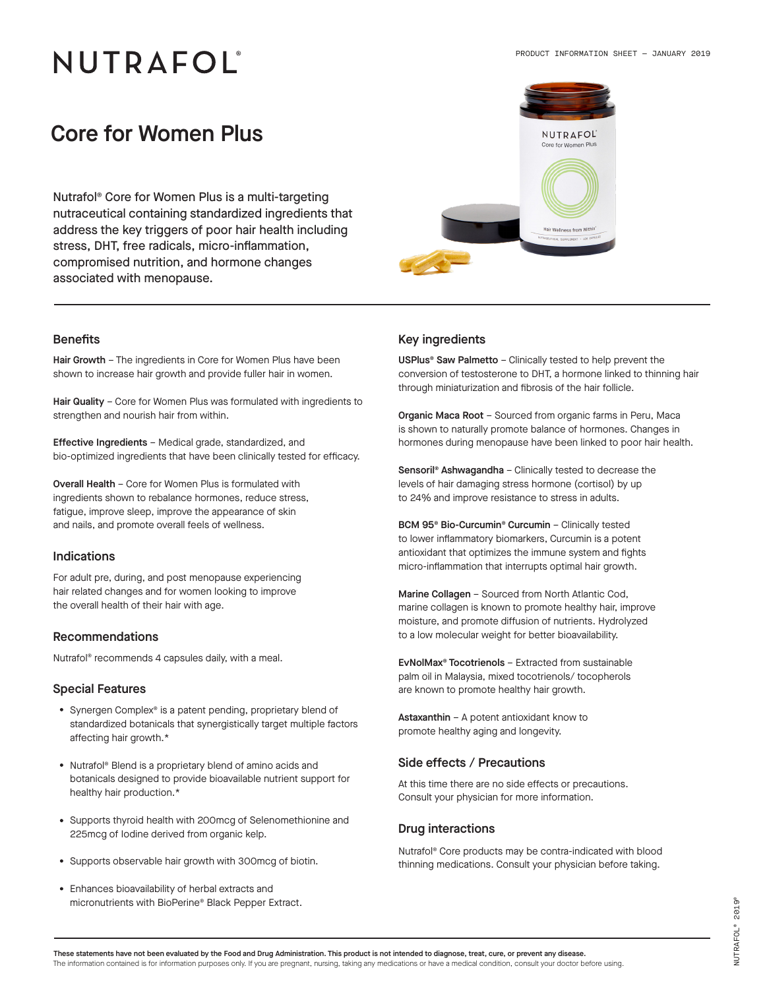# NUTRAFOL®

### Core for Women Plus

Nutrafol® Core for Women Plus is a multi-targeting nutraceutical containing standardized ingredients that address the key triggers of poor hair health including stress, DHT, free radicals, micro-inflammation, compromised nutrition, and hormone changes associated with menopause.



Hair Growth - The ingredients in Core for Women Plus have been shown to increase hair growth and provide fuller hair in women.

Hair Quality - Core for Women Plus was formulated with ingredients to strengthen and nourish hair from within.

Effective Ingredients – Medical grade, standardized, and bio-optimized ingredients that have been clinically tested for efficacy.

Overall Health – Core for Women Plus is formulated with ingredients shown to rebalance hormones, reduce stress, fatigue, improve sleep, improve the appearance of skin and nails, and promote overall feels of wellness.

#### **Indications**

For adult pre, during, and post menopause experiencing hair related changes and for women looking to improve the overall health of their hair with age.

#### Recommendations

Nutrafol® recommends 4 capsules daily, with a meal.

#### Special Features

- Synergen Complex® is a patent pending, proprietary blend of standardized botanicals that synergistically target multiple factors affecting hair growth.\*
- Nutrafol® Blend is a proprietary blend of amino acids and botanicals designed to provide bioavailable nutrient support for healthy hair production.\*
- Supports thyroid health with 200mcg of Selenomethionine and 225mcg of Iodine derived from organic kelp.
- Supports observable hair growth with 300mcg of biotin.
- Enhances bioavailability of herbal extracts and micronutrients with BioPerine® Black Pepper Extract.

#### Benefits **Benefits Benefits Key ingredients**

USPlus® Saw Palmetto – Clinically tested to help prevent the conversion of testosterone to DHT, a hormone linked to thinning hair through miniaturization and fibrosis of the hair follicle.

Organic Maca Root – Sourced from organic farms in Peru, Maca is shown to naturally promote balance of hormones. Changes in hormones during menopause have been linked to poor hair health.

Sensoril® Ashwagandha – Clinically tested to decrease the levels of hair damaging stress hormone (cortisol) by up to 24% and improve resistance to stress in adults.

BCM 95<sup>®</sup> Bio-Curcumin<sup>®</sup> Curcumin - Clinically tested to lower inflammatory biomarkers, Curcumin is a potent antioxidant that optimizes the immune system and fights micro-inflammation that interrupts optimal hair growth.

Marine Collagen – Sourced from North Atlantic Cod. marine collagen is known to promote healthy hair, improve moisture, and promote diffusion of nutrients. Hydrolyzed to a low molecular weight for better bioavailability.

EvNolMax® Tocotrienols – Extracted from sustainable palm oil in Malaysia, mixed tocotrienols/ tocopherols are known to promote healthy hair growth.

Astaxanthin – A potent antioxidant know to promote healthy aging and longevity.

#### Side effects / Precautions

At this time there are no side effects or precautions. Consult your physician for more information.

### Drug interactions

Nutrafol® Core products may be contra-indicated with blood thinning medications. Consult your physician before taking.

These statements have not been evaluated by the Food and Drug Administration. This product is not intended to diagnose, treat, cure, or prevent any disease. The information contained is for information purposes only. If you are pregnant, nursing, taking any medications or have a medical condition, consult your doctor before using.